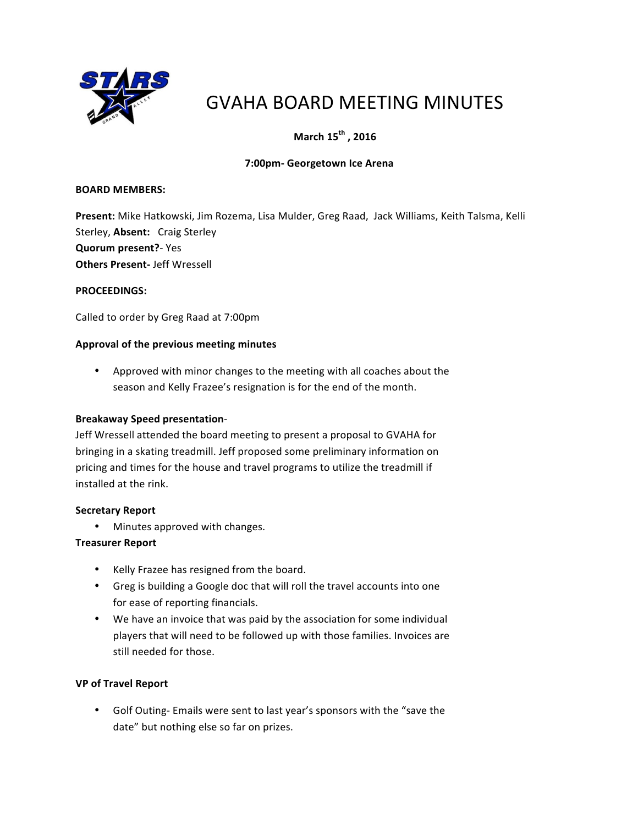

# GVAHA BOARD MEETING MINUTES

# **March 15<sup>th</sup>, 2016**

# **7:00pm- Georgetown Ice Arena**

#### **BOARD MEMBERS:**

Present: Mike Hatkowski, Jim Rozema, Lisa Mulder, Greg Raad, Jack Williams, Keith Talsma, Kelli Sterley, Absent: Craig Sterley **Quorum present?**- Yes **Others Present-** Jeff Wressell

#### **PROCEEDINGS:**

Called to order by Greg Raad at 7:00pm

#### Approval of the previous meeting minutes

• Approved with minor changes to the meeting with all coaches about the season and Kelly Frazee's resignation is for the end of the month.

#### **Breakaway Speed presentation**-

Jeff Wressell attended the board meeting to present a proposal to GVAHA for bringing in a skating treadmill. Jeff proposed some preliminary information on pricing and times for the house and travel programs to utilize the treadmill if installed at the rink.

#### **Secretary Report**

• Minutes approved with changes.

#### **Treasurer Report**

- Kelly Frazee has resigned from the board.
- Greg is building a Google doc that will roll the travel accounts into one for ease of reporting financials.
- We have an invoice that was paid by the association for some individual players that will need to be followed up with those families. Invoices are still needed for those.

#### **VP of Travel Report**

• Golf Outing- Emails were sent to last year's sponsors with the "save the date" but nothing else so far on prizes.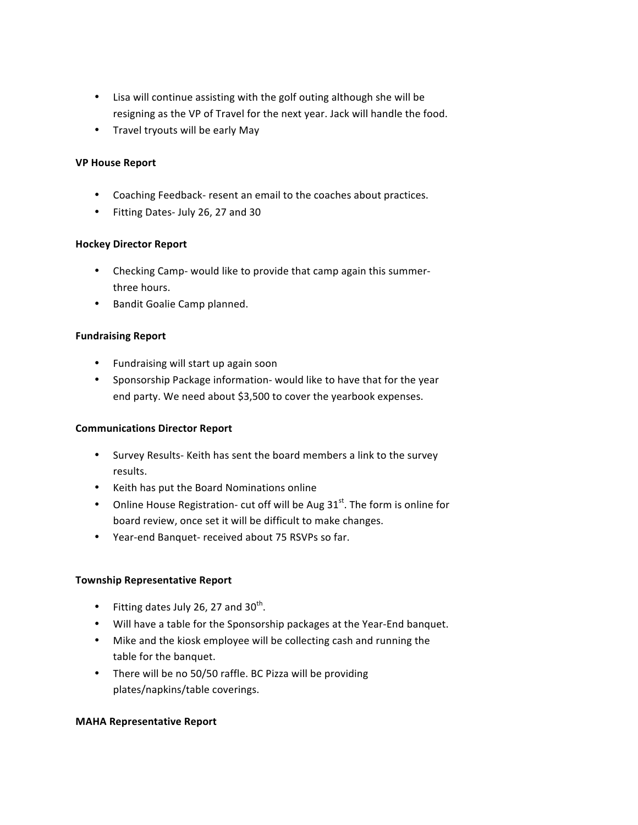- Lisa will continue assisting with the golf outing although she will be resigning as the VP of Travel for the next year. Jack will handle the food.
- Travel tryouts will be early May

#### **VP House Report**

- Coaching Feedback- resent an email to the coaches about practices.
- Fitting Dates- July 26, 27 and 30

#### **Hockey Director Report**

- Checking Camp- would like to provide that camp again this summerthree hours.
- Bandit Goalie Camp planned.

#### **Fundraising Report**

- Fundraising will start up again soon
- Sponsorship Package information- would like to have that for the year end party. We need about \$3,500 to cover the yearbook expenses.

#### **Communications Director Report**

- Survey Results- Keith has sent the board members a link to the survey results.
- Keith has put the Board Nominations online
- Online House Registration- cut off will be Aug  $31<sup>st</sup>$ . The form is online for board review, once set it will be difficult to make changes.
- Year-end Banquet- received about 75 RSVPs so far.

#### **Township Representative Report**

- Fitting dates July 26, 27 and  $30^{th}$ .
- Will have a table for the Sponsorship packages at the Year-End banquet.
- Mike and the kiosk employee will be collecting cash and running the table for the banquet.
- There will be no 50/50 raffle. BC Pizza will be providing plates/napkins/table coverings.

#### **MAHA Representative Report**